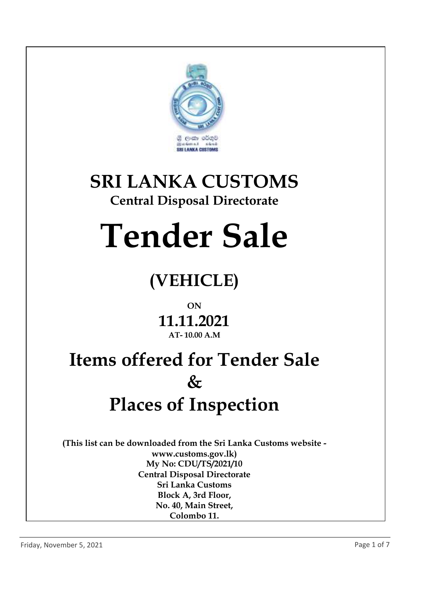

# **SRI LANKA CUSTOMS**

### **Central Disposal Directorate**

# **Tender Sale**

## **(VEHICLE)**

#### **ON**

#### **11.11.2021 AT- 10.00 A.M**

## **Items offered for Tender Sale & Places of Inspection**

**(This list can be downloaded from the Sri Lanka Customs website www.customs.gov.lk) My No: CDU/TS/2021/10 Central Disposal Directorate Sri Lanka Customs Block A, 3rd Floor, No. 40, Main Street, Colombo 11.**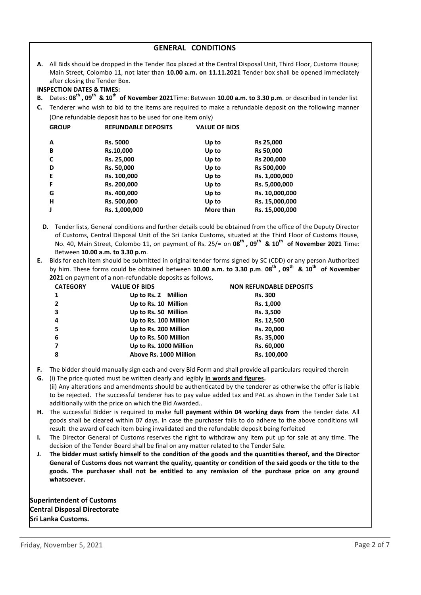|          | <b>GENERAL CONDITIONS</b>                                                                                                                                                                                                                                                                                                                                                                                                                                                                                                                                                                  |                            |                      |                                                                                                                                                 |  |
|----------|--------------------------------------------------------------------------------------------------------------------------------------------------------------------------------------------------------------------------------------------------------------------------------------------------------------------------------------------------------------------------------------------------------------------------------------------------------------------------------------------------------------------------------------------------------------------------------------------|----------------------------|----------------------|-------------------------------------------------------------------------------------------------------------------------------------------------|--|
|          | A. All Bids should be dropped in the Tender Box placed at the Central Disposal Unit, Third Floor, Customs House;<br>Main Street, Colombo 11, not later than 10.00 a.m. on 11.11.2021 Tender box shall be opened immediately<br>after closing the Tender Box.<br><b>INSPECTION DATES &amp; TIMES:</b>                                                                                                                                                                                                                                                                                       |                            |                      |                                                                                                                                                 |  |
| В.       |                                                                                                                                                                                                                                                                                                                                                                                                                                                                                                                                                                                            |                            |                      | Dates: 08 <sup>th</sup> , 09 <sup>th</sup> & 10 <sup>th</sup> of November 2021Time: Between 10.00 a.m. to 3.30 p.m. or described in tender list |  |
| C.       |                                                                                                                                                                                                                                                                                                                                                                                                                                                                                                                                                                                            |                            |                      |                                                                                                                                                 |  |
|          | Tenderer who wish to bid to the items are required to make a refundable deposit on the following manner<br>(One refundable deposit has to be used for one item only)                                                                                                                                                                                                                                                                                                                                                                                                                       |                            |                      |                                                                                                                                                 |  |
|          |                                                                                                                                                                                                                                                                                                                                                                                                                                                                                                                                                                                            |                            |                      |                                                                                                                                                 |  |
|          | <b>GROUP</b>                                                                                                                                                                                                                                                                                                                                                                                                                                                                                                                                                                               | <b>REFUNDABLE DEPOSITS</b> | <b>VALUE OF BIDS</b> |                                                                                                                                                 |  |
|          | Α                                                                                                                                                                                                                                                                                                                                                                                                                                                                                                                                                                                          | Rs. 5000                   | Up to                | Rs 25,000                                                                                                                                       |  |
|          | В                                                                                                                                                                                                                                                                                                                                                                                                                                                                                                                                                                                          | Rs.10,000                  | Up to                | Rs 50,000                                                                                                                                       |  |
|          | C                                                                                                                                                                                                                                                                                                                                                                                                                                                                                                                                                                                          | Rs. 25,000                 | Up to                | Rs 200,000                                                                                                                                      |  |
|          | D                                                                                                                                                                                                                                                                                                                                                                                                                                                                                                                                                                                          | Rs. 50,000                 | Up to                | Rs 500,000                                                                                                                                      |  |
|          | Е                                                                                                                                                                                                                                                                                                                                                                                                                                                                                                                                                                                          | Rs. 100,000                | Up to                | Rs. 1,000,000                                                                                                                                   |  |
|          | F                                                                                                                                                                                                                                                                                                                                                                                                                                                                                                                                                                                          | Rs. 200,000                | Up to                | Rs. 5,000,000                                                                                                                                   |  |
|          | G                                                                                                                                                                                                                                                                                                                                                                                                                                                                                                                                                                                          | Rs. 400,000                | Up to                | Rs. 10,000,000                                                                                                                                  |  |
|          | $\mathsf{H}$                                                                                                                                                                                                                                                                                                                                                                                                                                                                                                                                                                               | Rs. 500,000                | Up to                | Rs. 15,000,000                                                                                                                                  |  |
|          | J                                                                                                                                                                                                                                                                                                                                                                                                                                                                                                                                                                                          | Rs. 1,000,000              | More than            | Rs. 15,000,000                                                                                                                                  |  |
| Е.       | of Customs, Central Disposal Unit of the Sri Lanka Customs, situated at the Third Floor of Customs House,<br>No. 40, Main Street, Colombo 11, on payment of Rs. 25/= on $08^{th}$ , $09^{th}$ & $10^{th}$ of November 2021 Time:<br>Between 10.00 a.m. to 3.30 p.m.<br>Bids for each item should be submitted in original tender forms signed by SC (CDD) or any person Authorized<br>by him. These forms could be obtained between 10.00 a.m. to 3.30 p.m. 08 <sup>th</sup> , 09 <sup>th</sup> & 10 <sup>th</sup> of November<br>2021 on payment of a non-refundable deposits as follows, |                            |                      |                                                                                                                                                 |  |
|          | <b>CATEGORY</b>                                                                                                                                                                                                                                                                                                                                                                                                                                                                                                                                                                            | <b>VALUE OF BIDS</b>       |                      | <b>NON REFUNDABLE DEPOSITS</b>                                                                                                                  |  |
|          | $\mathbf{1}$                                                                                                                                                                                                                                                                                                                                                                                                                                                                                                                                                                               | Up to Rs. 2 Million        |                      | <b>Rs. 300</b>                                                                                                                                  |  |
|          | 2                                                                                                                                                                                                                                                                                                                                                                                                                                                                                                                                                                                          | Up to Rs. 10 Million       |                      | Rs. 1,000                                                                                                                                       |  |
|          | 3                                                                                                                                                                                                                                                                                                                                                                                                                                                                                                                                                                                          | Up to Rs. 50 Million       |                      | Rs. 3,500                                                                                                                                       |  |
|          | 4                                                                                                                                                                                                                                                                                                                                                                                                                                                                                                                                                                                          | Up to Rs. 100 Million      | Rs. 12,500           |                                                                                                                                                 |  |
|          | 5                                                                                                                                                                                                                                                                                                                                                                                                                                                                                                                                                                                          | Up to Rs. 200 Million      | Rs. 20,000           |                                                                                                                                                 |  |
|          | 6                                                                                                                                                                                                                                                                                                                                                                                                                                                                                                                                                                                          | Up to Rs. 500 Million      |                      | Rs. 35,000                                                                                                                                      |  |
|          | 7                                                                                                                                                                                                                                                                                                                                                                                                                                                                                                                                                                                          | Up to Rs. 1000 Million     |                      | Rs. 60,000                                                                                                                                      |  |
|          | 8                                                                                                                                                                                                                                                                                                                                                                                                                                                                                                                                                                                          | Above Rs. 1000 Million     |                      | Rs. 100,000                                                                                                                                     |  |
| F.<br>G. | The bidder should manually sign each and every Bid Form and shall provide all particulars required therein<br>(i) The price quoted must be written clearly and legibly in words and figures.<br>(ii) Any alterations and amendments should be authenticated by the tenderer as otherwise the offer is liable<br>to be rejected. The successful tenderer has to pay value added tax and PAL as shown in the Tender Sale List<br>additionally with the price on which the Bid Awarded                                                                                                        |                            |                      |                                                                                                                                                 |  |
| Н.       | The successful Bidder is required to make full payment within 04 working days from the tender date. All<br>goods shall be cleared within 07 days. In case the purchaser fails to do adhere to the above conditions will                                                                                                                                                                                                                                                                                                                                                                    |                            |                      |                                                                                                                                                 |  |

- result the award of each item being invalidated and the refundable deposit being forfeited
- **I.** The Director General of Customs reserves the right to withdraw any item put up for sale at any time. The decision of the Tender Board shall be final on any matter related to the Tender Sale.
- **J. The bidder must satisfy himself to the condition of the goods and the quantities thereof, and the Director General of Customs does not warrant the quality, quantity or condition of the said goods or the title to the goods. The purchaser shall not be entitled to any remission of the purchase price on any ground whatsoever.**

**Superintendent of Customs Central Disposal Directorate Sri Lanka Customs.**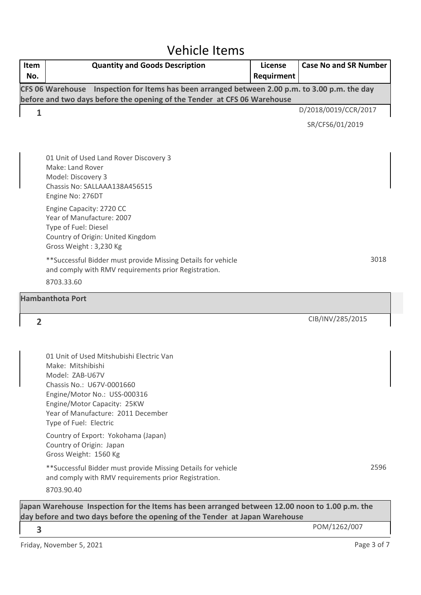## Vehicle Items

| Item<br>No.                                                                                                                                                                   | <b>Quantity and Goods Description</b>                                                                                                                                                                                                        | License<br>Requirment | <b>Case No and SR Number</b> |  |
|-------------------------------------------------------------------------------------------------------------------------------------------------------------------------------|----------------------------------------------------------------------------------------------------------------------------------------------------------------------------------------------------------------------------------------------|-----------------------|------------------------------|--|
|                                                                                                                                                                               | CFS 06 Warehouse Inspection for Items has been arranged between 2.00 p.m. to 3.00 p.m. the day<br>before and two days before the opening of the Tender at CFS 06 Warehouse                                                                   |                       |                              |  |
| 1                                                                                                                                                                             |                                                                                                                                                                                                                                              |                       | D/2018/0019/CCR/2017         |  |
|                                                                                                                                                                               |                                                                                                                                                                                                                                              |                       | SR/CFS6/01/2019              |  |
|                                                                                                                                                                               | 01 Unit of Used Land Rover Discovery 3<br>Make: Land Rover<br>Model: Discovery 3<br>Chassis No: SALLAAA138A456515<br>Engine No: 276DT                                                                                                        |                       |                              |  |
|                                                                                                                                                                               | Engine Capacity: 2720 CC<br>Year of Manufacture: 2007<br>Type of Fuel: Diesel<br>Country of Origin: United Kingdom<br>Gross Weight: 3,230 Kg                                                                                                 |                       |                              |  |
|                                                                                                                                                                               | **Successful Bidder must provide Missing Details for vehicle<br>and comply with RMV requirements prior Registration.                                                                                                                         |                       | 3018                         |  |
|                                                                                                                                                                               | 8703.33.60                                                                                                                                                                                                                                   |                       |                              |  |
|                                                                                                                                                                               | <b>Hambanthota Port</b>                                                                                                                                                                                                                      |                       |                              |  |
| $\overline{2}$                                                                                                                                                                |                                                                                                                                                                                                                                              |                       | CIB/INV/285/2015             |  |
|                                                                                                                                                                               |                                                                                                                                                                                                                                              |                       |                              |  |
|                                                                                                                                                                               | 01 Unit of Used Mitshubishi Electric Van<br>Make: Mitshibishi<br>Model: ZAB-U67V<br>Chassis No.: U67V-0001660<br>Engine/Motor No.: USS-000316<br>Engine/Motor Capacity: 25KW<br>Year of Manufacture: 2011 December<br>Type of Fuel: Electric |                       |                              |  |
|                                                                                                                                                                               | Country of Export: Yokohama (Japan)<br>Country of Origin: Japan<br>Gross Weight: 1560 Kg                                                                                                                                                     |                       |                              |  |
|                                                                                                                                                                               | ** Successful Bidder must provide Missing Details for vehicle<br>and comply with RMV requirements prior Registration.                                                                                                                        |                       | 2596                         |  |
|                                                                                                                                                                               | 8703.90.40                                                                                                                                                                                                                                   |                       |                              |  |
| Japan Warehouse Inspection for the Items has been arranged between 12.00 noon to 1.00 p.m. the<br>day before and two days before the opening of the Tender at Japan Warehouse |                                                                                                                                                                                                                                              |                       |                              |  |
| 3                                                                                                                                                                             |                                                                                                                                                                                                                                              |                       | POM/1262/007                 |  |
|                                                                                                                                                                               | Friday, November 5, 2021                                                                                                                                                                                                                     |                       | Page 3 of 7                  |  |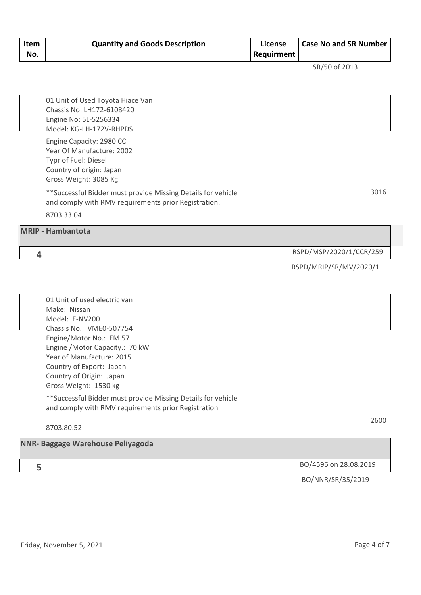| Item<br>No. | <b>Quantity and Goods Description</b>                                                                                                                                                                                                                                                                                                                                                          | License<br>Requirment | <b>Case No and SR Number</b> |
|-------------|------------------------------------------------------------------------------------------------------------------------------------------------------------------------------------------------------------------------------------------------------------------------------------------------------------------------------------------------------------------------------------------------|-----------------------|------------------------------|
|             |                                                                                                                                                                                                                                                                                                                                                                                                |                       | SR/50 of 2013                |
|             | 01 Unit of Used Toyota Hiace Van<br>Chassis No: LH172-6108420<br>Engine No: 5L-5256334<br>Model: KG-LH-172V-RHPDS                                                                                                                                                                                                                                                                              |                       |                              |
|             | Engine Capacity: 2980 CC<br>Year Of Manufacture: 2002<br>Typr of Fuel: Diesel<br>Country of origin: Japan<br>Gross Weight: 3085 Kg                                                                                                                                                                                                                                                             |                       |                              |
|             | ** Successful Bidder must provide Missing Details for vehicle<br>and comply with RMV requirements prior Registration.<br>8703.33.04                                                                                                                                                                                                                                                            |                       | 3016                         |
|             | <b>MRIP - Hambantota</b>                                                                                                                                                                                                                                                                                                                                                                       |                       |                              |
| 4           |                                                                                                                                                                                                                                                                                                                                                                                                |                       | RSPD/MSP/2020/1/CCR/259      |
|             |                                                                                                                                                                                                                                                                                                                                                                                                |                       | RSPD/MRIP/SR/MV/2020/1       |
|             | 01 Unit of used electric van<br>Make: Nissan<br>Model: E-NV200<br>Chassis No.: VME0-507754<br>Engine/Motor No.: EM 57<br>Engine / Motor Capacity.: 70 kW<br>Year of Manufacture: 2015<br>Country of Export: Japan<br>Country of Origin: Japan<br>Gross Weight: 1530 kg<br>** Successful Bidder must provide Missing Details for vehicle<br>and comply with RMV requirements prior Registration |                       |                              |
|             | 8703.80.52                                                                                                                                                                                                                                                                                                                                                                                     |                       | 2600                         |
|             | <b>NNR- Baggage Warehouse Peliyagoda</b>                                                                                                                                                                                                                                                                                                                                                       |                       |                              |
| 5           |                                                                                                                                                                                                                                                                                                                                                                                                |                       | BO/4596 on 28.08.2019        |
|             |                                                                                                                                                                                                                                                                                                                                                                                                |                       | BO/NNR/SR/35/2019            |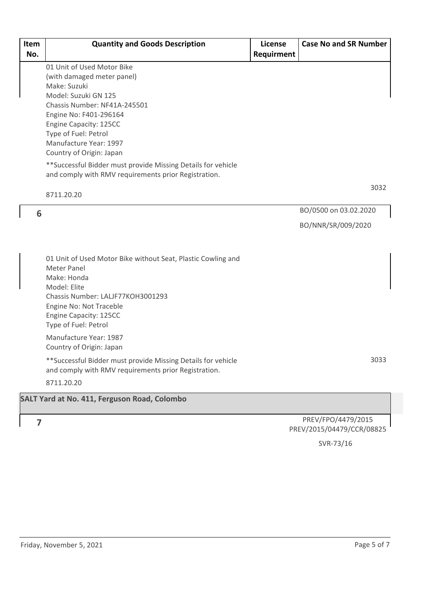| Item<br>No. | <b>Quantity and Goods Description</b>                                                                                                                                                                                                                              | License<br>Requirment | <b>Case No and SR Number</b> |
|-------------|--------------------------------------------------------------------------------------------------------------------------------------------------------------------------------------------------------------------------------------------------------------------|-----------------------|------------------------------|
|             | 01 Unit of Used Motor Bike<br>(with damaged meter panel)<br>Make: Suzuki<br>Model: Suzuki GN 125<br>Chassis Number: NF41A-245501<br>Engine No: F401-296164<br>Engine Capacity: 125CC<br>Type of Fuel: Petrol<br>Manufacture Year: 1997<br>Country of Origin: Japan |                       |                              |
|             | ** Successful Bidder must provide Missing Details for vehicle<br>and comply with RMV requirements prior Registration.                                                                                                                                              |                       |                              |
|             | 8711.20.20                                                                                                                                                                                                                                                         |                       | 3032                         |
| 6           |                                                                                                                                                                                                                                                                    |                       | BO/0500 on 03.02.2020        |
|             |                                                                                                                                                                                                                                                                    |                       | BO/NNR/SR/009/2020           |
|             | 01 Unit of Used Motor Bike without Seat, Plastic Cowling and<br><b>Meter Panel</b><br>Make: Honda<br>Model: Elite<br>Chassis Number: LALJF77KOH3001293<br>Engine No: Not Traceble<br>Engine Capacity: 125CC<br>Type of Fuel: Petrol                                |                       |                              |
|             | Manufacture Year: 1987<br>Country of Origin: Japan                                                                                                                                                                                                                 |                       |                              |
|             | ** Successful Bidder must provide Missing Details for vehicle<br>and comply with RMV requirements prior Registration.<br>8711.20.20                                                                                                                                |                       | 3033                         |
|             | SALT Yard at No. 411, Ferguson Road, Colombo                                                                                                                                                                                                                       |                       |                              |
|             |                                                                                                                                                                                                                                                                    |                       |                              |
| 7           |                                                                                                                                                                                                                                                                    |                       | PREV/FPO/4479/2015           |

PREV/FPO/4479/2015 PREV/2015/04479/CCR/08825

SVR-73/16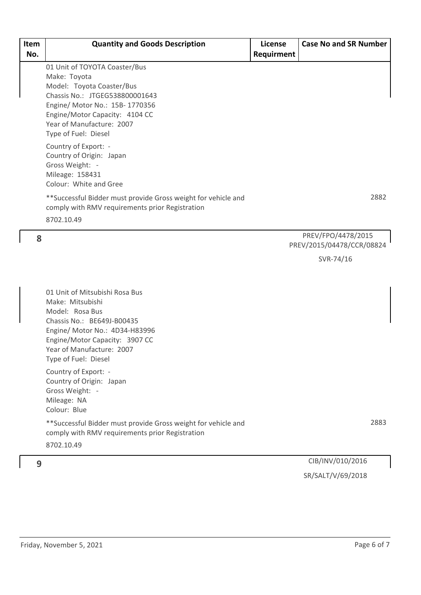| Item | <b>Quantity and Goods Description</b>                                                                                                                                                                                                 | License    | <b>Case No and SR Number</b>                    |
|------|---------------------------------------------------------------------------------------------------------------------------------------------------------------------------------------------------------------------------------------|------------|-------------------------------------------------|
| No.  |                                                                                                                                                                                                                                       | Requirment |                                                 |
|      | 01 Unit of TOYOTA Coaster/Bus<br>Make: Toyota<br>Model: Toyota Coaster/Bus<br>Chassis No.: JTGEG538800001643<br>Engine/ Motor No.: 15B-1770356<br>Engine/Motor Capacity: 4104 CC<br>Year of Manufacture: 2007<br>Type of Fuel: Diesel |            |                                                 |
|      | Country of Export: -<br>Country of Origin: Japan<br>Gross Weight: -<br>Mileage: 158431<br>Colour: White and Gree                                                                                                                      |            |                                                 |
|      | **Successful Bidder must provide Gross weight for vehicle and<br>comply with RMV requirements prior Registration<br>8702.10.49                                                                                                        |            | 2882                                            |
| 8    |                                                                                                                                                                                                                                       |            | PREV/FPO/4478/2015<br>PREV/2015/04478/CCR/08824 |
|      |                                                                                                                                                                                                                                       |            | SVR-74/16                                       |
|      | 01 Unit of Mitsubishi Rosa Bus<br>$A = L \cdot A$ , $A: L \cdot L$                                                                                                                                                                    |            |                                                 |

Make: Mitsubishi Model: Rosa Bus Chassis No.: BE649J-B00435 Engine/ Motor No.: 4D34-H83996 Engine/Motor Capacity: 3907 CC Year of Manufacture: 2007 Type of Fuel: Diesel

Country of Export: - Country of Origin: Japan Gross Weight: - Mileage: NA Colour: Blue

\*\*Successful Bidder must provide Gross weight for vehicle and comply with RMV requirements prior Registration

8702.10.49

2883

#### CIB/INV/010/2016 **9** SR/SALT/V/69/2018